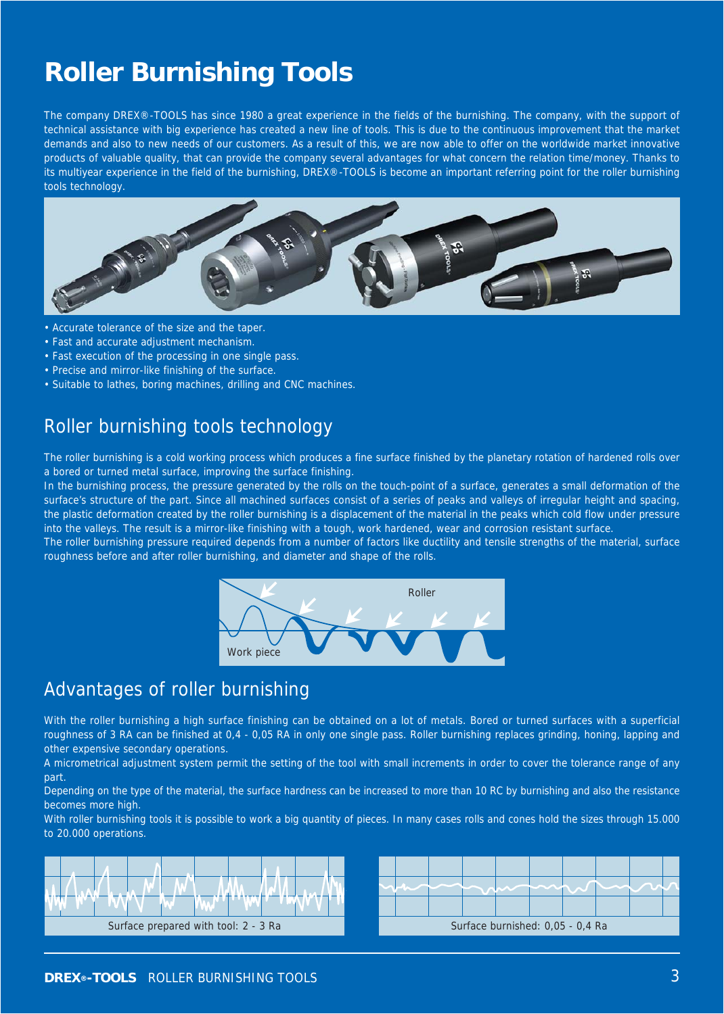# **Roller Burnishing Tools**

The company DREX®-TOOLS has since 1980 a great experience in the fields of the burnishing. The company, with the support of technical assistance with big experience has created a new line of tools. This is due to the continuous improvement that the market demands and also to new needs of our customers. As a result of this, we are now able to offer on the worldwide market innovative products of valuable quality, that can provide the company several advantages for what concern the relation time/money. Thanks to its multiyear experience in the field of the burnishing, DREX®-TOOLS is become an important referring point for the roller burnishing tools technology.



- Accurate tolerance of the size and the taper.
- Fast and accurate adjustment mechanism.
- Fast execution of the processing in one single pass.
- Precise and mirror-like finishing of the surface.
- Suitable to lathes, boring machines, drilling and CNC machines.

### Roller burnishing tools technology

The roller burnishing is a cold working process which produces a fine surface finished by the planetary rotation of hardened rolls over a bored or turned metal surface, improving the surface finishing.

In the burnishing process, the pressure generated by the rolls on the touch-point of a surface, generates a small deformation of the surface's structure of the part. Since all machined surfaces consist of a series of peaks and valleys of irregular height and spacing, the plastic deformation created by the roller burnishing is a displacement of the material in the peaks which cold flow under pressure into the valleys. The result is a mirror-like finishing with a tough, work hardened, wear and corrosion resistant surface.

The roller burnishing pressure required depends from a number of factors like ductility and tensile strengths of the material, surface roughness before and after roller burnishing, and diameter and shape of the rolls.



#### Advantages of roller burnishing

With the roller burnishing a high surface finishing can be obtained on a lot of metals. Bored or turned surfaces with a superficial roughness of 3 RA can be finished at 0,4 - 0,05 RA in only one single pass. Roller burnishing replaces grinding, honing, lapping and other expensive secondary operations.

A micrometrical adjustment system permit the setting of the tool with small increments in order to cover the tolerance range of any part.

Depending on the type of the material, the surface hardness can be increased to more than 10 RC by burnishing and also the resistance becomes more high.

With roller burnishing tools it is possible to work a big quantity of pieces. In many cases rolls and cones hold the sizes through 15.000 to 20.000 operations.



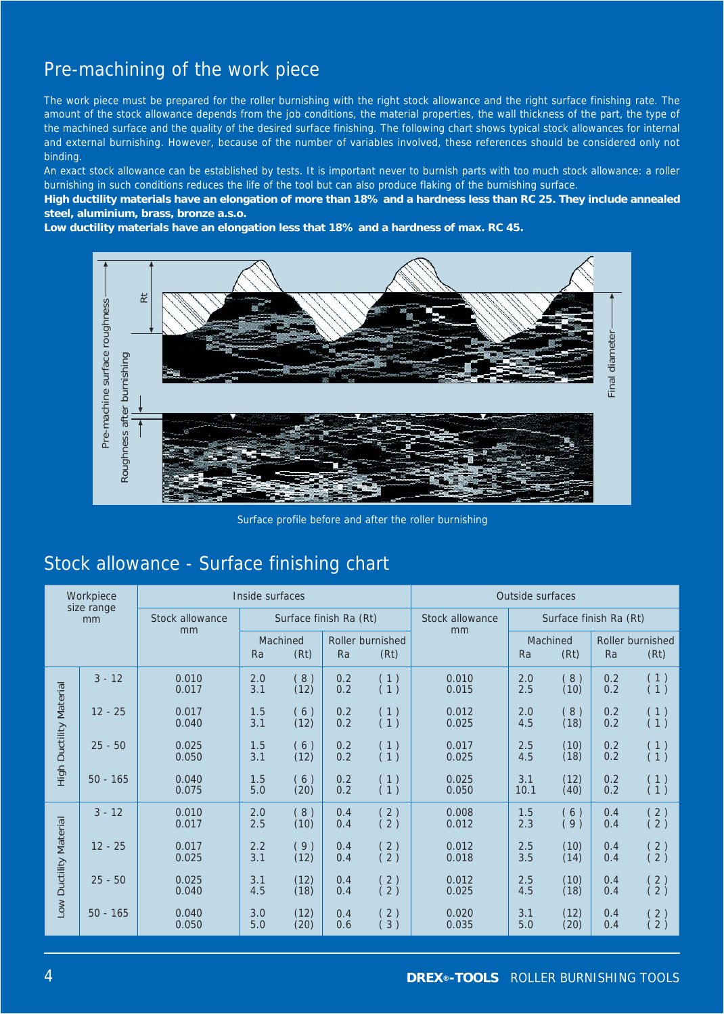# Pre-machining of the work piece

The work piece must be prepared for the roller burnishing with the right stock allowance and the right surface finishing rate. The amount of the stock allowance depends from the job conditions, the material properties, the wall thickness of the part, the type of the machined surface and the quality of the desired surface finishing. The following chart shows typical stock allowances for internal and external burnishing. However, because of the number of variables involved, these references should be considered only not binding.

An exact stock allowance can be established by tests. It is important never to burnish parts with too much stock allowance: a roller burnishing in such conditions reduces the life of the tool but can also produce flaking of the burnishing surface.

**High ductility materials have an elongation of more than 18% and a hardness less than RC 25. They include annealed steel, aluminium, brass, bronze a.s.o.**

**Low ductility materials have an elongation less that 18% and a hardness of max. RC 45.**



Surface profile before and after the roller burnishing

# Stock allowance - Surface finishing chart

|                                | Pre-machine surface roug<br>Roughness after burnishing |                                           |                              |              |                                           |                                        |                                                        |             |                                        | Final diameter |                                                             |
|--------------------------------|--------------------------------------------------------|-------------------------------------------|------------------------------|--------------|-------------------------------------------|----------------------------------------|--------------------------------------------------------|-------------|----------------------------------------|----------------|-------------------------------------------------------------|
|                                |                                                        |                                           |                              |              |                                           |                                        | Surface profile before and after the roller burnishing |             |                                        |                |                                                             |
|                                |                                                        | Stock allowance - Surface finishing chart |                              |              |                                           |                                        |                                                        |             |                                        |                |                                                             |
|                                | Workpiece<br>size range                                | Inside surfaces                           |                              |              |                                           | Outside surfaces                       |                                                        |             |                                        |                |                                                             |
| mm                             |                                                        | Stock allowance<br>mm                     | Surface finish Ra (Rt)       |              |                                           | Stock allowance<br>mm                  | Surface finish Ra (Rt)                                 |             |                                        |                |                                                             |
|                                |                                                        |                                           | Machined<br>Ra<br>(Rt)<br>Ra |              |                                           | Roller burnished<br>(Rt)               |                                                        | Ra          | Machined<br>(Rt)                       | Ra             | Roller burnished<br>(Rt)                                    |
|                                | $3 - 12$                                               | 0.010<br>0.017                            | 2.0<br>3.1                   | (8)<br>(12)  | $\begin{array}{c} 0.2 \\ 0.2 \end{array}$ | $\begin{pmatrix} 1 \\ 1 \end{pmatrix}$ | 0.010<br>0.015                                         | 2.0<br>2.5  | (8)<br>(10)                            | 0.2<br>0.2     | $\begin{pmatrix} 1 \\ 1 \end{pmatrix}$                      |
|                                | $12 - 25$                                              | 0.017<br>0.040                            | 1.5<br>3.1                   | (6)<br>(12)  | 0.2<br>0.2                                | $\begin{pmatrix} 1 \\ 1 \end{pmatrix}$ | 0.012<br>0.025                                         | 2.0<br>4.5  | (8)<br>(18)                            | 0.2<br>0.2     | $\begin{pmatrix} 1 \\ 1 \end{pmatrix}$                      |
| <b>High Ductility Material</b> | $25 - 50$                                              | 0.025<br>0.050                            | 1.5<br>3.1                   | (6)<br>(12)  | 0.2<br>0.2                                | $\begin{pmatrix} 1 \\ 1 \end{pmatrix}$ | 0.017<br>0.025                                         | 2.5<br>4.5  | (10)<br>(18)                           | 0.2<br>0.2     | $\begin{pmatrix} 1 \\ 1 \end{pmatrix}$                      |
|                                | $50 - 165$                                             | 0.040<br>0.075                            | 1.5<br>5.0                   | (6)<br>(20)  | 0.2<br>0.2                                | $\begin{pmatrix} 1 \\ 1 \end{pmatrix}$ | 0.025<br>0.050                                         | 3.1<br>10.1 | (12)<br>(40)                           | 0.2<br>0.2     | $\begin{pmatrix} 1 \\ 1 \end{pmatrix}$                      |
| Material<br>Low Ductility      | $3 - 12$                                               | 0.010<br>0.017                            | 2.0<br>2.5                   | (8)<br>(10)  | 0.4<br>0.4                                | $\begin{pmatrix} 2 \\ 2 \end{pmatrix}$ | 0.008<br>0.012                                         | 1.5<br>2.3  | $\begin{pmatrix} 6 \\ 9 \end{pmatrix}$ | 0.4<br>0.4     | $\begin{pmatrix} 2 \\ 2 \end{pmatrix}$                      |
|                                | $12 - 25$                                              | 0.017<br>0.025                            | 2.2<br>3.1                   | (9)<br>(12)  | 0.4<br>0.4                                | (2)<br>(2)                             | 0.012<br>0.018                                         | 2.5<br>3.5  | (10)<br>(14)                           | 0.4<br>0.4     | 2)<br>(2)                                                   |
|                                | $25 - 50$                                              | 0.025<br>0.040                            | 3.1<br>4.5                   | (12)<br>(18) | 0.4<br>0.4                                | $\begin{pmatrix} 2 \\ 2 \end{pmatrix}$ | 0.012<br>0.025                                         | 2.5<br>4.5  | (10)<br>(18)                           | 0.4<br>0.4     | $\begin{pmatrix} 2 \\ 2 \end{pmatrix}$                      |
|                                | $50 - 165$                                             | 0.040<br>0.050                            | 3.0<br>5.0                   | (12)<br>(20) | 0.4<br>0.6                                | $\begin{pmatrix} 2 \\ 3 \end{pmatrix}$ | 0.020<br>0.035                                         | 3.1<br>5.0  | (12)<br>(20)                           | 0.4<br>0.4     | $\left(\begin{smallmatrix} 2 \\ 2 \end{smallmatrix}\right)$ |
|                                |                                                        |                                           |                              |              |                                           |                                        |                                                        |             |                                        |                |                                                             |
| $\overline{4}$                 |                                                        |                                           |                              |              |                                           |                                        | <b>DREX®-TOOLS</b> ROLLER BURNISHING TOOLS             |             |                                        |                |                                                             |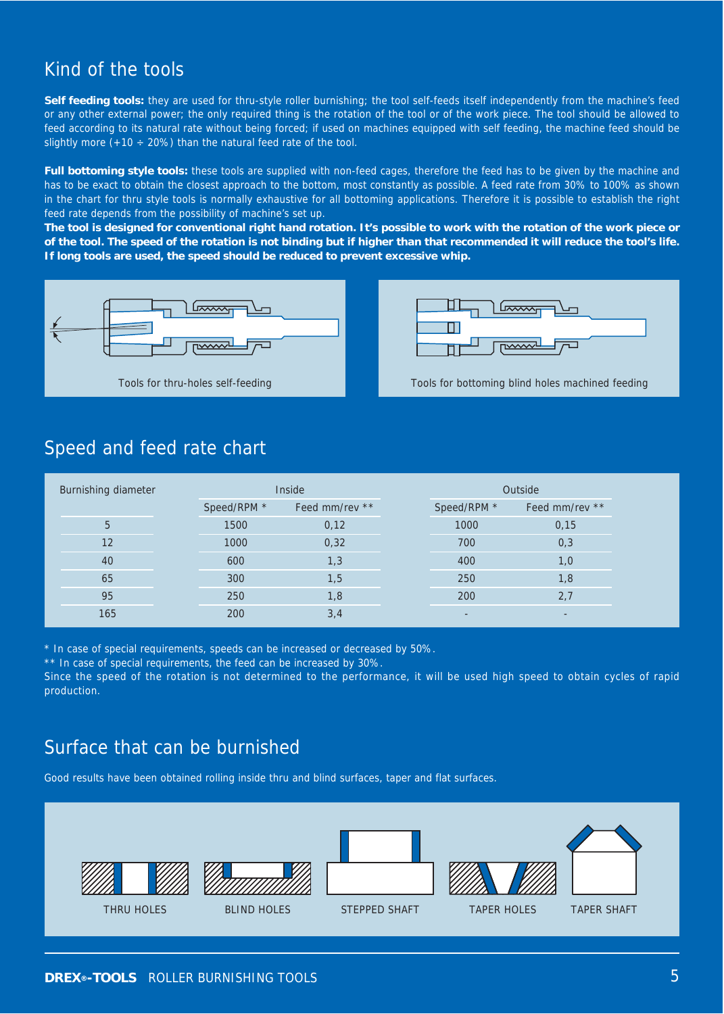# Kind of the tools

**Self feeding tools:** they are used for thru-style roller burnishing; the tool self-feeds itself independently from the machine's feed or any other external power; the only required thing is the rotation of the tool or of the work piece. The tool should be allowed to feed according to its natural rate without being forced; if used on machines equipped with self feeding, the machine feed should be slightly more  $(+10 \div 20\%)$  than the natural feed rate of the tool.

**Full bottoming style tools:** these tools are supplied with non-feed cages, therefore the feed has to be given by the machine and has to be exact to obtain the closest approach to the bottom, most constantly as possible. A feed rate from 30% to 100% as shown in the chart for thru style tools is normally exhaustive for all bottoming applications. Therefore it is possible to establish the right feed rate depends from the possibility of machine's set up.

**The tool is designed for conventional right hand rotation. It's possible to work with the rotation of the work piece or of the tool. The speed of the rotation is not binding but if higher than that recommended it will reduce the tool's life. If long tools are used, the speed should be reduced to prevent excessive whip.**





#### Speed and feed rate chart

| Burnishing diameter |                               | Inside | Outside |                          |                |  |
|---------------------|-------------------------------|--------|---------|--------------------------|----------------|--|
|                     | Speed/RPM *<br>Feed mm/rev ** |        |         | Speed/RPM *              | Feed mm/rev ** |  |
| 5                   | 1500                          | 0,12   |         | 1000                     | 0,15           |  |
| 12                  | 1000                          | 0,32   |         | 700                      | 0,3            |  |
| 40                  | 600                           | 1,3    |         | 400                      | 1,0            |  |
| 65                  | 300                           | 1,5    |         | 250                      | 1,8            |  |
| 95                  | 250                           | 1,8    |         | 200                      | 2,7            |  |
| 165                 | 200                           | 3,4    |         | $\overline{\phantom{a}}$ |                |  |

\* In case of special requirements, speeds can be increased or decreased by 50%.

\*\* In case of special requirements, the feed can be increased by 30%.

Since the speed of the rotation is not determined to the performance, it will be used high speed to obtain cycles of rapid production.

### Surface that can be burnished

Good results have been obtained rolling inside thru and blind surfaces, taper and flat surfaces.

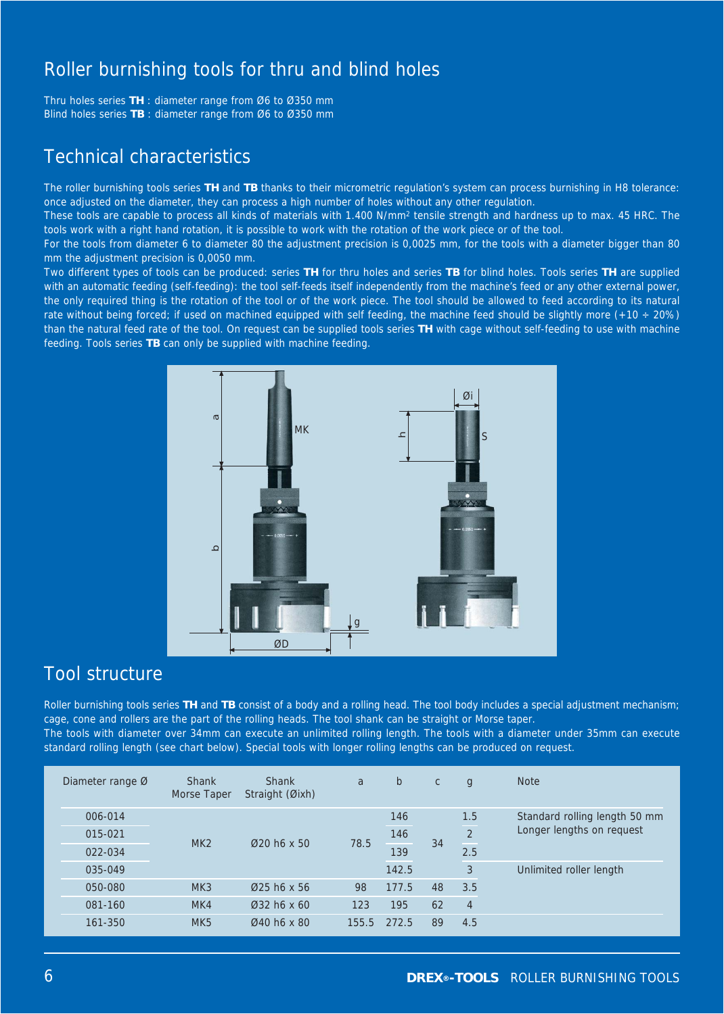# Roller burnishing tools for thru and blind holes

Thru holes series **TH** : diameter range from Ø6 to Ø350 mm Blind holes series **TB** : diameter range from Ø6 to Ø350 mm

# Technical characteristics

The roller burnishing tools series **TH** and **TB** thanks to their micrometric regulation's system can process burnishing in H8 tolerance: once adjusted on the diameter, they can process a high number of holes without any other regulation.

These tools are capable to process all kinds of materials with 1.400 N/mm2 tensile strength and hardness up to max. 45 HRC. The tools work with a right hand rotation, it is possible to work with the rotation of the work piece or of the tool.

For the tools from diameter 6 to diameter 80 the adjustment precision is 0,0025 mm, for the tools with a diameter bigger than 80 mm the adjustment precision is 0,0050 mm.

Two different types of tools can be produced: series **TH** for thru holes and series **TB** for blind holes. Tools series **TH** are supplied with an automatic feeding (self-feeding): the tool self-feeds itself independently from the machine's feed or any other external power, the only required thing is the rotation of the tool or of the work piece. The tool should be allowed to feed according to its natural rate without being forced; if used on machined equipped with self feeding, the machine feed should be slightly more  $(+10 \div 20\%)$ than the natural feed rate of the tool. On request can be supplied tools series **TH** with cage without self-feeding to use with machine feeding. Tools series **TB** can only be supplied with machine feeding.



# Tool structure

Roller burnishing tools series **TH** and **TB** consist of a body and a rolling head. The tool body includes a special adjustment mechanism; cage, cone and rollers are the part of the rolling heads. The tool shank can be straight or Morse taper. The tools with diameter over 34mm can execute an unlimited rolling length. The tools with a diameter under 35mm can execute standard rolling length (see chart below). Special tools with longer rolling lengths can be produced on request.

| Diameter range $\emptyset$ | <b>Shank</b><br>Morse Taper | <b>Shank</b><br>Straight (Øixh) | a     | $\mathsf{b}$ | $\mathsf{C}$ | g              | <b>Note</b>                   |
|----------------------------|-----------------------------|---------------------------------|-------|--------------|--------------|----------------|-------------------------------|
| 006-014                    |                             | $Q20$ h6 x 50                   | 78.5  | 146          | 34           | 1.5            | Standard rolling length 50 mm |
| 015-021                    | MK2                         |                                 |       | 146          |              | $\overline{2}$ | Longer lengths on request     |
| 022-034                    |                             |                                 |       | 139          |              | 2.5            |                               |
| 035-049                    |                             |                                 |       | 142.5        |              | 3              | Unlimited roller length       |
| 050-080                    | MK3                         | $\varnothing$ 25 h6 x 56        | 98    | 177.5        | 48           | 3.5            |                               |
| 081-160                    | MK4                         | $032$ h6 x 60                   | 123   | 195          | 62           | $\overline{4}$ |                               |
| 161-350                    | MK <sub>5</sub>             | Ø40 h6 x 80                     | 155.5 | 272.5        | 89           | 4.5            |                               |